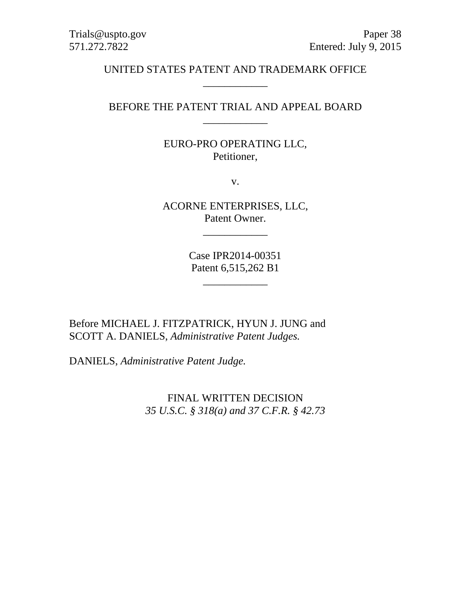## UNITED STATES PATENT AND TRADEMARK OFFICE \_\_\_\_\_\_\_\_\_\_\_\_

## BEFORE THE PATENT TRIAL AND APPEAL BOARD \_\_\_\_\_\_\_\_\_\_\_\_

## EURO-PRO OPERATING LLC, Petitioner,

v.

ACORNE ENTERPRISES, LLC, Patent Owner.

\_\_\_\_\_\_\_\_\_\_\_\_

Case IPR2014-00351 Patent 6,515,262 B1

\_\_\_\_\_\_\_\_\_\_\_\_

Before MICHAEL J. FITZPATRICK, HYUN J. JUNG and SCOTT A. DANIELS, *Administrative Patent Judges.* 

DANIELS, *Administrative Patent Judge.* 

FINAL WRITTEN DECISION *35 U.S.C. § 318(a) and 37 C.F.R. § 42.73*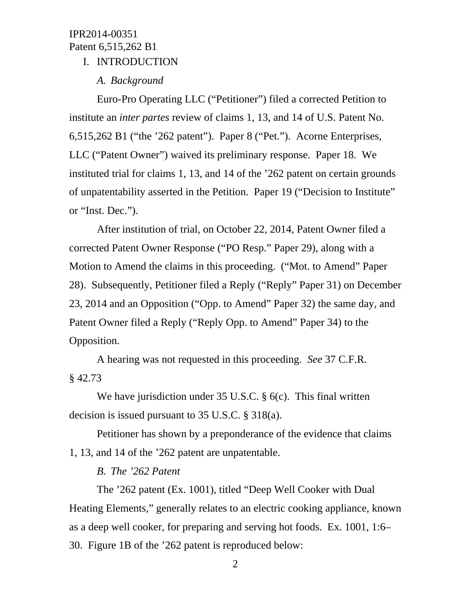## I. INTRODUCTION

#### *A. Background*

Euro-Pro Operating LLC ("Petitioner") filed a corrected Petition to institute an *inter partes* review of claims 1, 13, and 14 of U.S. Patent No. 6,515,262 B1 ("the '262 patent"). Paper 8 ("Pet."). Acorne Enterprises, LLC ("Patent Owner") waived its preliminary response. Paper 18. We instituted trial for claims 1, 13, and 14 of the '262 patent on certain grounds of unpatentability asserted in the Petition. Paper 19 ("Decision to Institute" or "Inst. Dec.").

After institution of trial, on October 22, 2014, Patent Owner filed a corrected Patent Owner Response ("PO Resp." Paper 29), along with a Motion to Amend the claims in this proceeding. ("Mot. to Amend" Paper 28). Subsequently, Petitioner filed a Reply ("Reply" Paper 31) on December 23, 2014 and an Opposition ("Opp. to Amend" Paper 32) the same day, and Patent Owner filed a Reply ("Reply Opp. to Amend" Paper 34) to the Opposition.

A hearing was not requested in this proceeding. *See* 37 C.F.R. § 42.73

We have jurisdiction under 35 U.S.C. § 6(c). This final written decision is issued pursuant to 35 U.S.C. § 318(a).

Petitioner has shown by a preponderance of the evidence that claims 1, 13, and 14 of the '262 patent are unpatentable.

#### *B. The '262 Patent*

The '262 patent (Ex. 1001), titled "Deep Well Cooker with Dual Heating Elements," generally relates to an electric cooking appliance, known as a deep well cooker, for preparing and serving hot foods. Ex. 1001, 1:6– 30. Figure 1B of the '262 patent is reproduced below: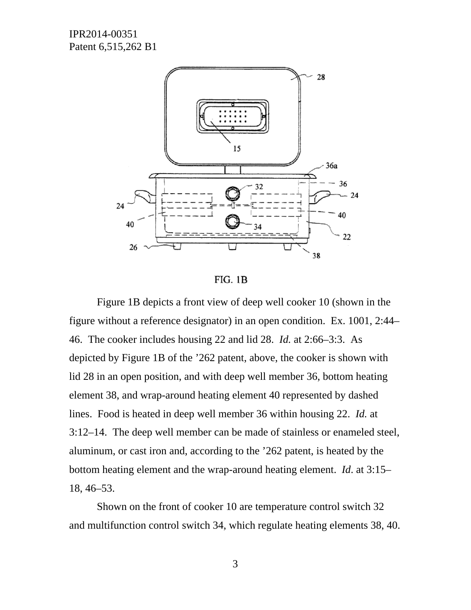

FIG. 1B

Figure 1B depicts a front view of deep well cooker 10 (shown in the figure without a reference designator) in an open condition. Ex. 1001, 2:44– 46. The cooker includes housing 22 and lid 28. *Id.* at 2:66–3:3. As depicted by Figure 1B of the '262 patent, above, the cooker is shown with lid 28 in an open position, and with deep well member 36, bottom heating element 38, and wrap-around heating element 40 represented by dashed lines. Food is heated in deep well member 36 within housing 22. *Id.* at 3:12–14. The deep well member can be made of stainless or enameled steel, aluminum, or cast iron and, according to the '262 patent, is heated by the bottom heating element and the wrap-around heating element. *Id*. at 3:15– 18, 46–53.

Shown on the front of cooker 10 are temperature control switch 32 and multifunction control switch 34, which regulate heating elements 38, 40.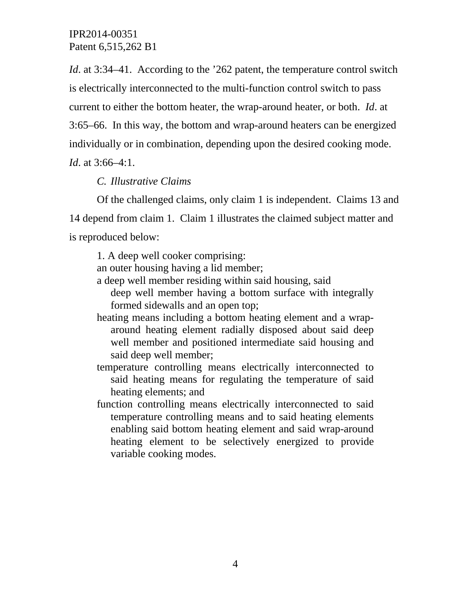*Id.* at 3:34–41. According to the '262 patent, the temperature control switch is electrically interconnected to the multi-function control switch to pass current to either the bottom heater, the wrap-around heater, or both. *Id*. at 3:65–66. In this way, the bottom and wrap-around heaters can be energized individually or in combination, depending upon the desired cooking mode.

*Id*. at 3:66–4:1.

## *C. Illustrative Claims*

Of the challenged claims, only claim 1 is independent. Claims 13 and 14 depend from claim 1. Claim 1 illustrates the claimed subject matter and is reproduced below:

1. A deep well cooker comprising:

an outer housing having a lid member;

a deep well member residing within said housing, said

deep well member having a bottom surface with integrally formed sidewalls and an open top;

- heating means including a bottom heating element and a wraparound heating element radially disposed about said deep well member and positioned intermediate said housing and said deep well member;
- temperature controlling means electrically interconnected to said heating means for regulating the temperature of said heating elements; and
- function controlling means electrically interconnected to said temperature controlling means and to said heating elements enabling said bottom heating element and said wrap-around heating element to be selectively energized to provide variable cooking modes.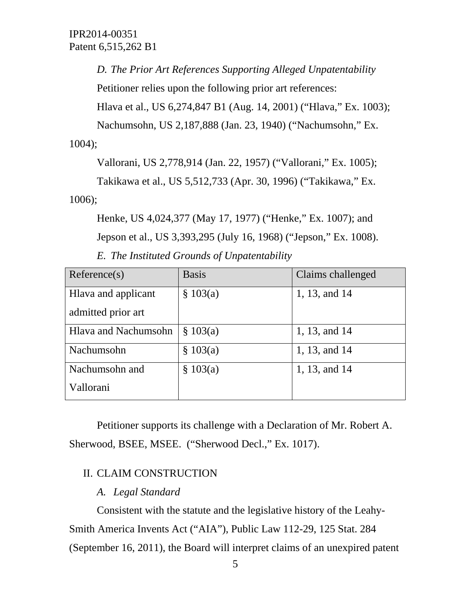*D. The Prior Art References Supporting Alleged Unpatentability* 

Petitioner relies upon the following prior art references:

Hlava et al., US 6,274,847 B1 (Aug. 14, 2001) ("Hlava," Ex. 1003);

Nachumsohn, US 2,187,888 (Jan. 23, 1940) ("Nachumsohn," Ex.

1004);

Vallorani, US 2,778,914 (Jan. 22, 1957) ("Vallorani," Ex. 1005);

Takikawa et al., US 5,512,733 (Apr. 30, 1996) ("Takikawa," Ex. 1006);

Henke, US 4,024,377 (May 17, 1977) ("Henke," Ex. 1007); and Jepson et al., US 3,393,295 (July 16, 1968) ("Jepson," Ex. 1008).

*E. The Instituted Grounds of Unpatentability* 

| Reference(s)                | <b>Basis</b> | Claims challenged |
|-----------------------------|--------------|-------------------|
| Hlava and applicant         | \$103(a)     | 1, 13, and 14     |
| admitted prior art          |              |                   |
| <b>Hlava and Nachumsohn</b> | \$103(a)     | 1, 13, and 14     |
| Nachumsohn                  | \$103(a)     | 1, 13, and 14     |
| Nachumsohn and              | \$103(a)     | 1, 13, and 14     |
| Vallorani                   |              |                   |

Petitioner supports its challenge with a Declaration of Mr. Robert A. Sherwood, BSEE, MSEE. ("Sherwood Decl.," Ex. 1017).

## II. CLAIM CONSTRUCTION

## *A. Legal Standard*

Consistent with the statute and the legislative history of the Leahy-Smith America Invents Act ("AIA"), Public Law 112-29, 125 Stat. 284 (September 16, 2011), the Board will interpret claims of an unexpired patent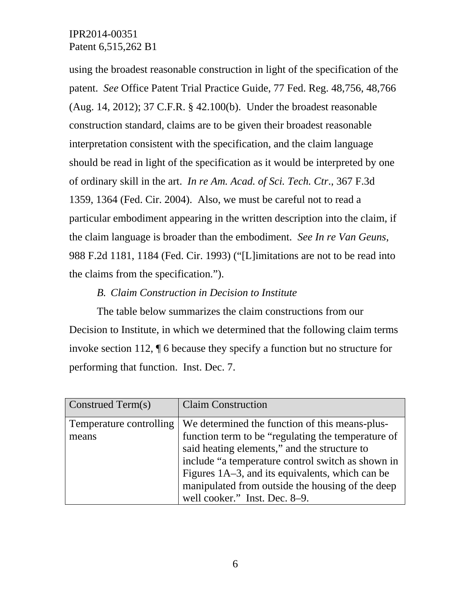using the broadest reasonable construction in light of the specification of the patent. *See* Office Patent Trial Practice Guide, 77 Fed. Reg. 48,756, 48,766 (Aug. 14, 2012); 37 C.F.R. § 42.100(b). Under the broadest reasonable construction standard, claims are to be given their broadest reasonable interpretation consistent with the specification, and the claim language should be read in light of the specification as it would be interpreted by one of ordinary skill in the art. *In re Am. Acad. of Sci. Tech. Ctr*., 367 F.3d 1359, 1364 (Fed. Cir. 2004). Also, we must be careful not to read a particular embodiment appearing in the written description into the claim, if the claim language is broader than the embodiment. *See In re Van Geuns*, 988 F.2d 1181, 1184 (Fed. Cir. 1993) ("[L]imitations are not to be read into the claims from the specification.").

## *B. Claim Construction in Decision to Institute*

The table below summarizes the claim constructions from our Decision to Institute, in which we determined that the following claim terms invoke section 112, ¶ 6 because they specify a function but no structure for performing that function. Inst. Dec. 7.

| Construed Term(s)       | <b>Claim Construction</b>                          |
|-------------------------|----------------------------------------------------|
| Temperature controlling | We determined the function of this means-plus-     |
| means                   | function term to be "regulating the temperature of |
|                         | said heating elements," and the structure to       |
|                         | include "a temperature control switch as shown in  |
|                         | Figures 1A–3, and its equivalents, which can be    |
|                         | manipulated from outside the housing of the deep   |
|                         | well cooker." Inst. Dec. 8–9.                      |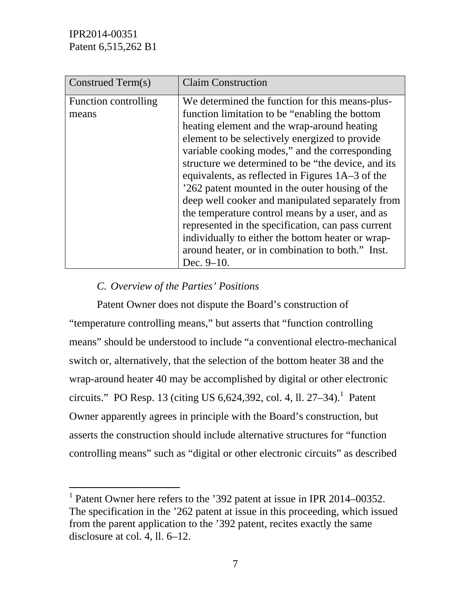l

| Construed Term(s)             | <b>Claim Construction</b>                                                                                                                                                                                                                                                                                                                                                                                                                                                                                                                                                                                                                                                                                 |
|-------------------------------|-----------------------------------------------------------------------------------------------------------------------------------------------------------------------------------------------------------------------------------------------------------------------------------------------------------------------------------------------------------------------------------------------------------------------------------------------------------------------------------------------------------------------------------------------------------------------------------------------------------------------------------------------------------------------------------------------------------|
| Function controlling<br>means | We determined the function for this means-plus-<br>function limitation to be "enabling the bottom"<br>heating element and the wrap-around heating<br>element to be selectively energized to provide<br>variable cooking modes," and the corresponding<br>structure we determined to be "the device, and its<br>equivalents, as reflected in Figures 1A–3 of the<br>'262 patent mounted in the outer housing of the<br>deep well cooker and manipulated separately from<br>the temperature control means by a user, and as<br>represented in the specification, can pass current<br>individually to either the bottom heater or wrap-<br>around heater, or in combination to both." Inst.<br>Dec. $9-10$ . |

## *C. Overview of the Parties' Positions*

Patent Owner does not dispute the Board's construction of "temperature controlling means," but asserts that "function controlling means" should be understood to include "a conventional electro-mechanical switch or, alternatively, that the selection of the bottom heater 38 and the wrap-around heater 40 may be accomplished by digital or other electronic circuits." PO Resp. 13 (citing US 6,624,392, col. 4, ll. 27–34).<sup>1</sup> Patent Owner apparently agrees in principle with the Board's construction, but asserts the construction should include alternative structures for "function controlling means" such as "digital or other electronic circuits" as described

<sup>&</sup>lt;sup>1</sup> Patent Owner here refers to the '392 patent at issue in IPR 2014–00352. The specification in the '262 patent at issue in this proceeding, which issued from the parent application to the '392 patent, recites exactly the same disclosure at col. 4, ll. 6–12.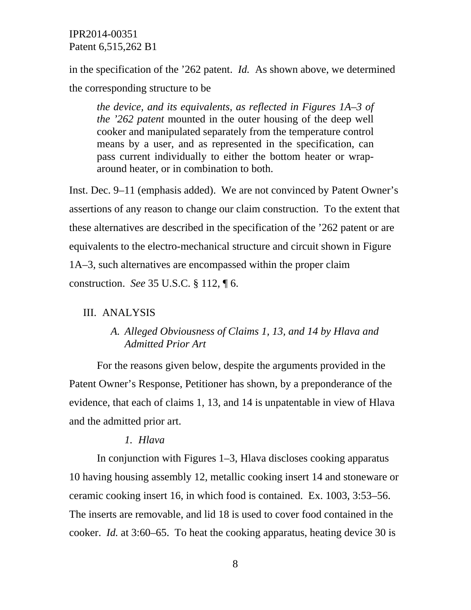in the specification of the '262 patent. *Id.* As shown above, we determined the corresponding structure to be

*the device, and its equivalents, as reflected in Figures 1A–3 of the '262 patent* mounted in the outer housing of the deep well cooker and manipulated separately from the temperature control means by a user, and as represented in the specification, can pass current individually to either the bottom heater or wraparound heater, or in combination to both.

Inst. Dec. 9–11 (emphasis added). We are not convinced by Patent Owner's assertions of any reason to change our claim construction. To the extent that these alternatives are described in the specification of the '262 patent or are equivalents to the electro-mechanical structure and circuit shown in Figure 1A–3, such alternatives are encompassed within the proper claim construction. *See* 35 U.S.C. § 112, ¶ 6.

#### III. ANALYSIS

## *A. Alleged Obviousness of Claims 1, 13, and 14 by Hlava and Admitted Prior Art*

For the reasons given below, despite the arguments provided in the Patent Owner's Response, Petitioner has shown, by a preponderance of the evidence, that each of claims 1, 13, and 14 is unpatentable in view of Hlava and the admitted prior art.

#### *1. Hlava*

In conjunction with Figures 1–3, Hlava discloses cooking apparatus 10 having housing assembly 12, metallic cooking insert 14 and stoneware or ceramic cooking insert 16, in which food is contained. Ex. 1003, 3:53–56. The inserts are removable, and lid 18 is used to cover food contained in the cooker. *Id.* at 3:60–65. To heat the cooking apparatus, heating device 30 is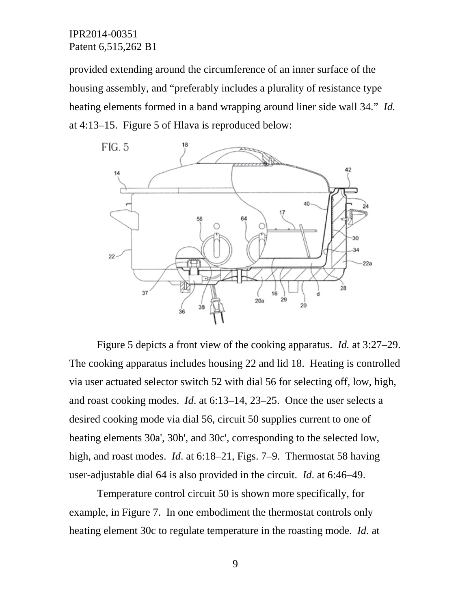provided extending around the circumference of an inner surface of the housing assembly, and "preferably includes a plurality of resistance type heating elements formed in a band wrapping around liner side wall 34." *Id.* at 4:13–15. Figure 5 of Hlava is reproduced below:



Figure 5 depicts a front view of the cooking apparatus. *Id.* at 3:27–29. The cooking apparatus includes housing 22 and lid 18. Heating is controlled via user actuated selector switch 52 with dial 56 for selecting off, low, high, and roast cooking modes. *Id*. at 6:13–14, 23–25. Once the user selects a desired cooking mode via dial 56, circuit 50 supplies current to one of heating elements 30a', 30b', and 30c', corresponding to the selected low, high, and roast modes. *Id*. at 6:18–21, Figs. 7–9. Thermostat 58 having user-adjustable dial 64 is also provided in the circuit. *Id*. at 6:46–49.

Temperature control circuit 50 is shown more specifically, for example, in Figure 7. In one embodiment the thermostat controls only heating element 30c to regulate temperature in the roasting mode. *Id*. at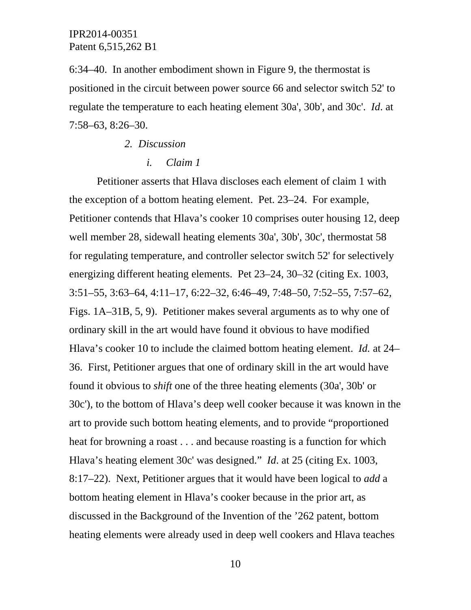6:34–40. In another embodiment shown in Figure 9, the thermostat is positioned in the circuit between power source 66 and selector switch 52' to regulate the temperature to each heating element 30a', 30b', and 30c'. *Id*. at 7:58–63, 8:26–30.

- *2. Discussion* 
	- *i. Claim 1*

Petitioner asserts that Hlava discloses each element of claim 1 with the exception of a bottom heating element. Pet. 23–24. For example, Petitioner contends that Hlava's cooker 10 comprises outer housing 12, deep well member 28, sidewall heating elements 30a', 30b', 30c', thermostat 58 for regulating temperature, and controller selector switch 52' for selectively energizing different heating elements. Pet 23–24, 30–32 (citing Ex. 1003, 3:51–55, 3:63–64, 4:11–17, 6:22–32, 6:46–49, 7:48–50, 7:52–55, 7:57–62, Figs. 1A–31B, 5, 9). Petitioner makes several arguments as to why one of ordinary skill in the art would have found it obvious to have modified Hlava's cooker 10 to include the claimed bottom heating element. *Id.* at 24– 36. First, Petitioner argues that one of ordinary skill in the art would have found it obvious to *shift* one of the three heating elements (30a', 30b' or 30c'), to the bottom of Hlava's deep well cooker because it was known in the art to provide such bottom heating elements, and to provide "proportioned heat for browning a roast . . . and because roasting is a function for which Hlava's heating element 30c' was designed." *Id*. at 25 (citing Ex. 1003, 8:17–22). Next, Petitioner argues that it would have been logical to *add* a bottom heating element in Hlava's cooker because in the prior art, as discussed in the Background of the Invention of the '262 patent, bottom heating elements were already used in deep well cookers and Hlava teaches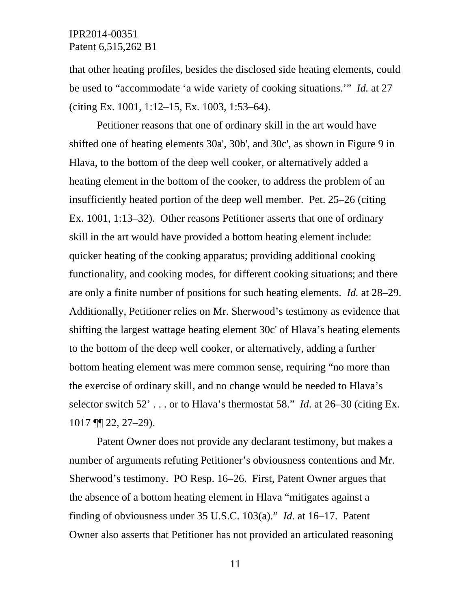that other heating profiles, besides the disclosed side heating elements, could be used to "accommodate 'a wide variety of cooking situations.'" *Id.* at 27 (citing Ex. 1001, 1:12–15, Ex. 1003, 1:53–64).

Petitioner reasons that one of ordinary skill in the art would have shifted one of heating elements 30a', 30b', and 30c', as shown in Figure 9 in Hlava, to the bottom of the deep well cooker, or alternatively added a heating element in the bottom of the cooker, to address the problem of an insufficiently heated portion of the deep well member. Pet. 25–26 (citing Ex. 1001, 1:13–32). Other reasons Petitioner asserts that one of ordinary skill in the art would have provided a bottom heating element include: quicker heating of the cooking apparatus; providing additional cooking functionality, and cooking modes, for different cooking situations; and there are only a finite number of positions for such heating elements. *Id.* at 28–29. Additionally, Petitioner relies on Mr. Sherwood's testimony as evidence that shifting the largest wattage heating element 30c' of Hlava's heating elements to the bottom of the deep well cooker, or alternatively, adding a further bottom heating element was mere common sense, requiring "no more than the exercise of ordinary skill, and no change would be needed to Hlava's selector switch 52' . . . or to Hlava's thermostat 58." *Id*. at 26–30 (citing Ex. 1017 ¶¶ 22, 27–29).

Patent Owner does not provide any declarant testimony, but makes a number of arguments refuting Petitioner's obviousness contentions and Mr. Sherwood's testimony. PO Resp. 16–26. First, Patent Owner argues that the absence of a bottom heating element in Hlava "mitigates against a finding of obviousness under 35 U.S.C. 103(a)." *Id.* at 16–17. Patent Owner also asserts that Petitioner has not provided an articulated reasoning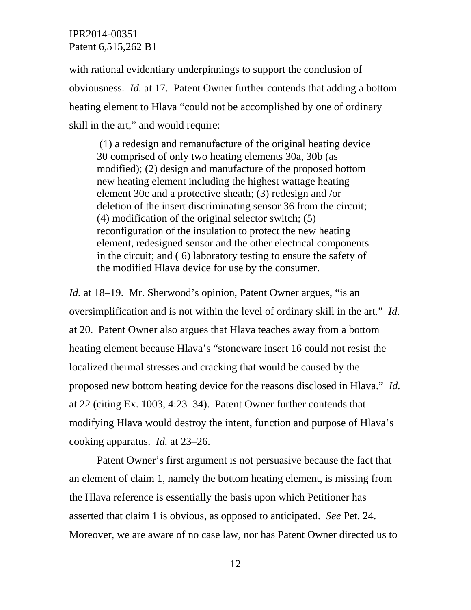with rational evidentiary underpinnings to support the conclusion of obviousness. *Id.* at 17. Patent Owner further contends that adding a bottom heating element to Hlava "could not be accomplished by one of ordinary skill in the art," and would require:

 (1) a redesign and remanufacture of the original heating device 30 comprised of only two heating elements 30a, 30b (as modified); (2) design and manufacture of the proposed bottom new heating element including the highest wattage heating element 30c and a protective sheath; (3) redesign and /or deletion of the insert discriminating sensor 36 from the circuit; (4) modification of the original selector switch; (5) reconfiguration of the insulation to protect the new heating element, redesigned sensor and the other electrical components in the circuit; and ( 6) laboratory testing to ensure the safety of the modified Hlava device for use by the consumer.

*Id.* at 18–19. Mr. Sherwood's opinion, Patent Owner argues, "is an oversimplification and is not within the level of ordinary skill in the art." *Id.* at 20. Patent Owner also argues that Hlava teaches away from a bottom heating element because Hlava's "stoneware insert 16 could not resist the localized thermal stresses and cracking that would be caused by the proposed new bottom heating device for the reasons disclosed in Hlava." *Id.* at 22 (citing Ex. 1003, 4:23–34). Patent Owner further contends that modifying Hlava would destroy the intent, function and purpose of Hlava's cooking apparatus. *Id.* at 23–26.

Patent Owner's first argument is not persuasive because the fact that an element of claim 1, namely the bottom heating element, is missing from the Hlava reference is essentially the basis upon which Petitioner has asserted that claim 1 is obvious, as opposed to anticipated. *See* Pet. 24. Moreover, we are aware of no case law, nor has Patent Owner directed us to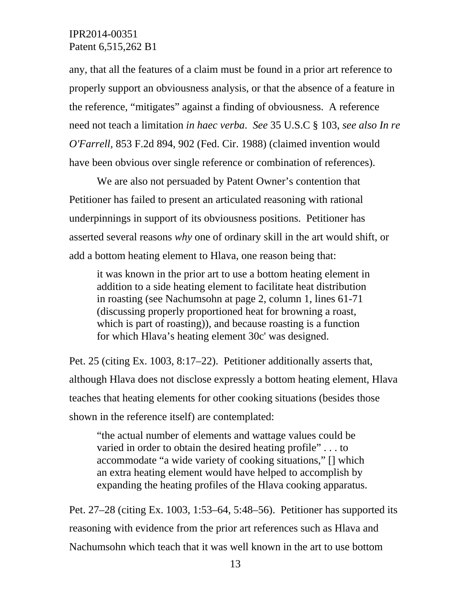any, that all the features of a claim must be found in a prior art reference to properly support an obviousness analysis, or that the absence of a feature in the reference, "mitigates" against a finding of obviousness. A reference need not teach a limitation *in haec verba*. *See* 35 U.S.C § 103, *see also In re O'Farrell,* 853 F.2d 894, 902 (Fed. Cir. 1988) (claimed invention would have been obvious over single reference or combination of references).

We are also not persuaded by Patent Owner's contention that Petitioner has failed to present an articulated reasoning with rational underpinnings in support of its obviousness positions. Petitioner has asserted several reasons *why* one of ordinary skill in the art would shift, or add a bottom heating element to Hlava, one reason being that:

it was known in the prior art to use a bottom heating element in addition to a side heating element to facilitate heat distribution in roasting (see Nachumsohn at page 2, column 1, lines 61-71 (discussing properly proportioned heat for browning a roast, which is part of roasting)), and because roasting is a function for which Hlava's heating element 30c' was designed.

Pet. 25 (citing Ex. 1003, 8:17–22). Petitioner additionally asserts that, although Hlava does not disclose expressly a bottom heating element, Hlava teaches that heating elements for other cooking situations (besides those shown in the reference itself) are contemplated:

"the actual number of elements and wattage values could be varied in order to obtain the desired heating profile" . . . to accommodate "a wide variety of cooking situations," [] which an extra heating element would have helped to accomplish by expanding the heating profiles of the Hlava cooking apparatus.

Pet. 27–28 (citing Ex. 1003, 1:53–64, 5:48–56). Petitioner has supported its reasoning with evidence from the prior art references such as Hlava and Nachumsohn which teach that it was well known in the art to use bottom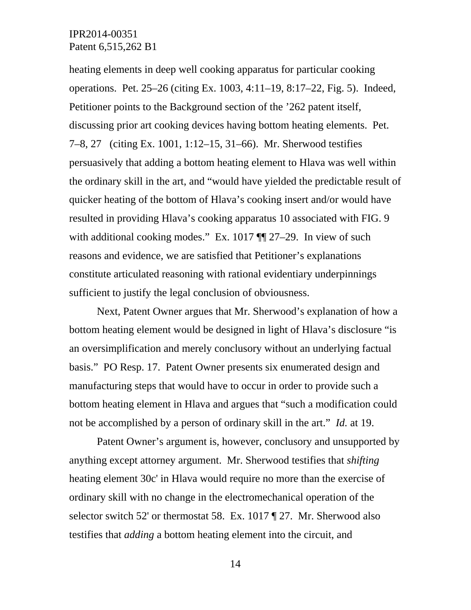heating elements in deep well cooking apparatus for particular cooking operations. Pet. 25–26 (citing Ex. 1003, 4:11–19, 8:17–22, Fig. 5). Indeed, Petitioner points to the Background section of the '262 patent itself, discussing prior art cooking devices having bottom heating elements. Pet. 7–8, 27 (citing Ex. 1001, 1:12–15, 31–66). Mr. Sherwood testifies persuasively that adding a bottom heating element to Hlava was well within the ordinary skill in the art, and "would have yielded the predictable result of quicker heating of the bottom of Hlava's cooking insert and/or would have resulted in providing Hlava's cooking apparatus 10 associated with FIG. 9 with additional cooking modes." Ex. 1017  $\P$  27–29. In view of such reasons and evidence, we are satisfied that Petitioner's explanations constitute articulated reasoning with rational evidentiary underpinnings sufficient to justify the legal conclusion of obviousness.

Next, Patent Owner argues that Mr. Sherwood's explanation of how a bottom heating element would be designed in light of Hlava's disclosure "is an oversimplification and merely conclusory without an underlying factual basis." PO Resp. 17. Patent Owner presents six enumerated design and manufacturing steps that would have to occur in order to provide such a bottom heating element in Hlava and argues that "such a modification could not be accomplished by a person of ordinary skill in the art." *Id.* at 19.

Patent Owner's argument is, however, conclusory and unsupported by anything except attorney argument. Mr. Sherwood testifies that *shifting* heating element 30c' in Hlava would require no more than the exercise of ordinary skill with no change in the electromechanical operation of the selector switch 52' or thermostat 58. Ex. 1017 ¶ 27. Mr. Sherwood also testifies that *adding* a bottom heating element into the circuit, and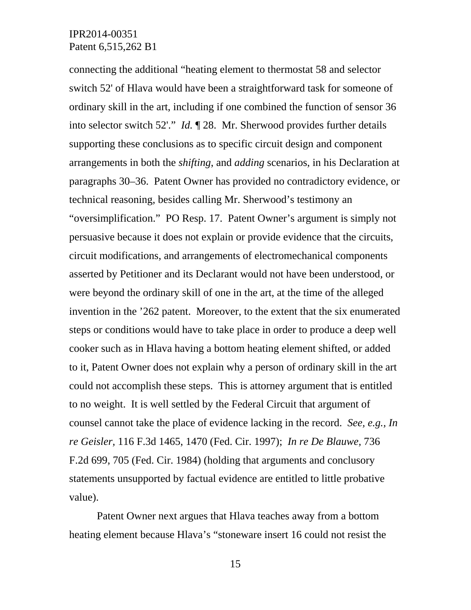connecting the additional "heating element to thermostat 58 and selector switch 52' of Hlava would have been a straightforward task for someone of ordinary skill in the art, including if one combined the function of sensor 36 into selector switch 52'." *Id.* ¶ 28. Mr. Sherwood provides further details supporting these conclusions as to specific circuit design and component arrangements in both the *shifting*, and *adding* scenarios, in his Declaration at paragraphs 30–36. Patent Owner has provided no contradictory evidence, or technical reasoning, besides calling Mr. Sherwood's testimony an "oversimplification." PO Resp. 17. Patent Owner's argument is simply not persuasive because it does not explain or provide evidence that the circuits, circuit modifications, and arrangements of electromechanical components asserted by Petitioner and its Declarant would not have been understood, or were beyond the ordinary skill of one in the art, at the time of the alleged invention in the '262 patent. Moreover, to the extent that the six enumerated steps or conditions would have to take place in order to produce a deep well cooker such as in Hlava having a bottom heating element shifted, or added to it, Patent Owner does not explain why a person of ordinary skill in the art could not accomplish these steps. This is attorney argument that is entitled to no weight. It is well settled by the Federal Circuit that argument of counsel cannot take the place of evidence lacking in the record. *See, e.g., In re Geisler,* 116 F.3d 1465, 1470 (Fed. Cir. 1997); *In re De Blauwe,* 736 F.2d 699, 705 (Fed. Cir. 1984) (holding that arguments and conclusory statements unsupported by factual evidence are entitled to little probative value).

Patent Owner next argues that Hlava teaches away from a bottom heating element because Hlava's "stoneware insert 16 could not resist the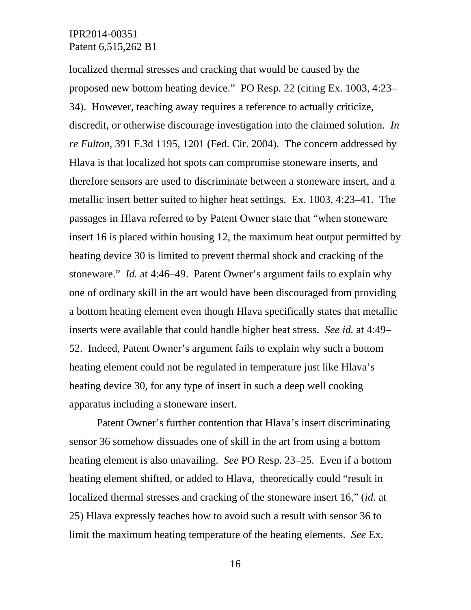localized thermal stresses and cracking that would be caused by the proposed new bottom heating device." PO Resp. 22 (citing Ex. 1003, 4:23– 34). However, teaching away requires a reference to actually criticize, discredit, or otherwise discourage investigation into the claimed solution. *In re Fulton*, 391 F.3d 1195, 1201 (Fed. Cir. 2004). The concern addressed by Hlava is that localized hot spots can compromise stoneware inserts, and therefore sensors are used to discriminate between a stoneware insert, and a metallic insert better suited to higher heat settings. Ex. 1003, 4:23–41. The passages in Hlava referred to by Patent Owner state that "when stoneware insert 16 is placed within housing 12, the maximum heat output permitted by heating device 30 is limited to prevent thermal shock and cracking of the stoneware." *Id.* at 4:46–49. Patent Owner's argument fails to explain why one of ordinary skill in the art would have been discouraged from providing a bottom heating element even though Hlava specifically states that metallic inserts were available that could handle higher heat stress. *See id.* at 4:49– 52. Indeed, Patent Owner's argument fails to explain why such a bottom heating element could not be regulated in temperature just like Hlava's heating device 30, for any type of insert in such a deep well cooking apparatus including a stoneware insert.

Patent Owner's further contention that Hlava's insert discriminating sensor 36 somehow dissuades one of skill in the art from using a bottom heating element is also unavailing. *See* PO Resp. 23–25. Even if a bottom heating element shifted, or added to Hlava, theoretically could "result in localized thermal stresses and cracking of the stoneware insert 16," (*id.* at 25) Hlava expressly teaches how to avoid such a result with sensor 36 to limit the maximum heating temperature of the heating elements. *See* Ex.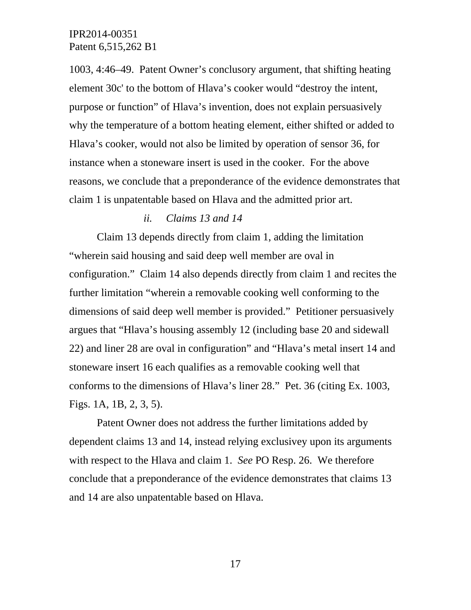1003, 4:46–49. Patent Owner's conclusory argument, that shifting heating element 30c' to the bottom of Hlava's cooker would "destroy the intent, purpose or function" of Hlava's invention, does not explain persuasively why the temperature of a bottom heating element, either shifted or added to Hlava's cooker, would not also be limited by operation of sensor 36, for instance when a stoneware insert is used in the cooker. For the above reasons, we conclude that a preponderance of the evidence demonstrates that claim 1 is unpatentable based on Hlava and the admitted prior art.

#### *ii. Claims 13 and 14*

Claim 13 depends directly from claim 1, adding the limitation "wherein said housing and said deep well member are oval in configuration." Claim 14 also depends directly from claim 1 and recites the further limitation "wherein a removable cooking well conforming to the dimensions of said deep well member is provided." Petitioner persuasively argues that "Hlava's housing assembly 12 (including base 20 and sidewall 22) and liner 28 are oval in configuration" and "Hlava's metal insert 14 and stoneware insert 16 each qualifies as a removable cooking well that conforms to the dimensions of Hlava's liner 28." Pet. 36 (citing Ex. 1003, Figs. 1A, 1B, 2, 3, 5).

Patent Owner does not address the further limitations added by dependent claims 13 and 14, instead relying exclusivey upon its arguments with respect to the Hlava and claim 1. *See* PO Resp. 26. We therefore conclude that a preponderance of the evidence demonstrates that claims 13 and 14 are also unpatentable based on Hlava.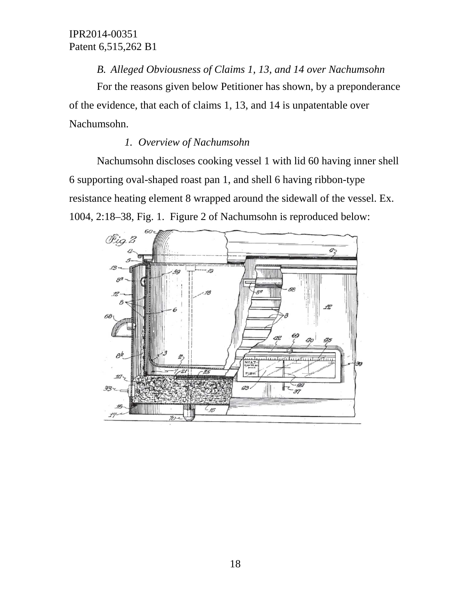## *B. Alleged Obviousness of Claims 1, 13, and 14 over Nachumsohn*

For the reasons given below Petitioner has shown, by a preponderance of the evidence, that each of claims 1, 13, and 14 is unpatentable over Nachumsohn.

## *1. Overview of Nachumsohn*

Nachumsohn discloses cooking vessel 1 with lid 60 having inner shell 6 supporting oval-shaped roast pan 1, and shell 6 having ribbon-type resistance heating element 8 wrapped around the sidewall of the vessel. Ex. 1004, 2:18–38, Fig. 1. Figure 2 of Nachumsohn is reproduced below:

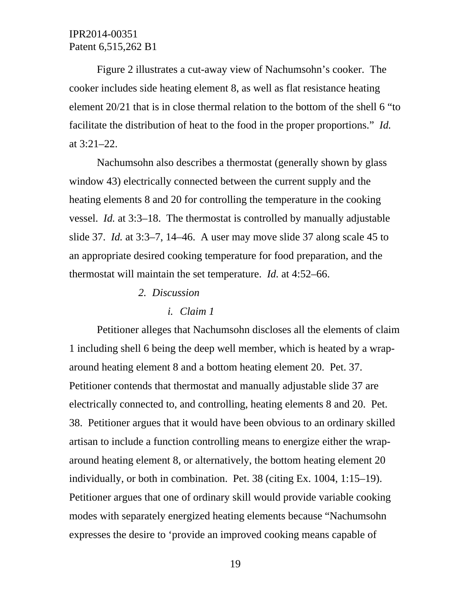Figure 2 illustrates a cut-away view of Nachumsohn's cooker. The cooker includes side heating element 8, as well as flat resistance heating element 20/21 that is in close thermal relation to the bottom of the shell 6 "to facilitate the distribution of heat to the food in the proper proportions." *Id.* at 3:21–22.

Nachumsohn also describes a thermostat (generally shown by glass window 43) electrically connected between the current supply and the heating elements 8 and 20 for controlling the temperature in the cooking vessel. *Id.* at 3:3–18. The thermostat is controlled by manually adjustable slide 37. *Id.* at 3:3–7, 14–46. A user may move slide 37 along scale 45 to an appropriate desired cooking temperature for food preparation, and the thermostat will maintain the set temperature. *Id.* at 4:52–66.

*2. Discussion* 

#### *i. Claim 1*

Petitioner alleges that Nachumsohn discloses all the elements of claim 1 including shell 6 being the deep well member, which is heated by a wraparound heating element 8 and a bottom heating element 20. Pet. 37. Petitioner contends that thermostat and manually adjustable slide 37 are electrically connected to, and controlling, heating elements 8 and 20. Pet. 38. Petitioner argues that it would have been obvious to an ordinary skilled artisan to include a function controlling means to energize either the wraparound heating element 8, or alternatively, the bottom heating element 20 individually, or both in combination. Pet. 38 (citing Ex. 1004, 1:15–19). Petitioner argues that one of ordinary skill would provide variable cooking modes with separately energized heating elements because "Nachumsohn expresses the desire to 'provide an improved cooking means capable of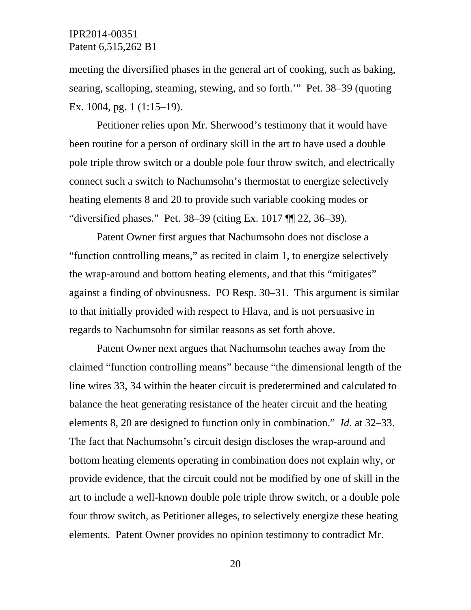meeting the diversified phases in the general art of cooking, such as baking, searing, scalloping, steaming, stewing, and so forth.'" Pet. 38–39 (quoting Ex. 1004, pg. 1 (1:15–19).

Petitioner relies upon Mr. Sherwood's testimony that it would have been routine for a person of ordinary skill in the art to have used a double pole triple throw switch or a double pole four throw switch, and electrically connect such a switch to Nachumsohn's thermostat to energize selectively heating elements 8 and 20 to provide such variable cooking modes or "diversified phases." Pet. 38–39 (citing Ex. 1017 ¶¶ 22, 36–39).

Patent Owner first argues that Nachumsohn does not disclose a "function controlling means," as recited in claim 1, to energize selectively the wrap-around and bottom heating elements, and that this "mitigates" against a finding of obviousness. PO Resp. 30–31. This argument is similar to that initially provided with respect to Hlava, and is not persuasive in regards to Nachumsohn for similar reasons as set forth above.

Patent Owner next argues that Nachumsohn teaches away from the claimed "function controlling means" because "the dimensional length of the line wires 33, 34 within the heater circuit is predetermined and calculated to balance the heat generating resistance of the heater circuit and the heating elements 8, 20 are designed to function only in combination." *Id.* at 32–33. The fact that Nachumsohn's circuit design discloses the wrap-around and bottom heating elements operating in combination does not explain why, or provide evidence, that the circuit could not be modified by one of skill in the art to include a well-known double pole triple throw switch, or a double pole four throw switch, as Petitioner alleges, to selectively energize these heating elements. Patent Owner provides no opinion testimony to contradict Mr.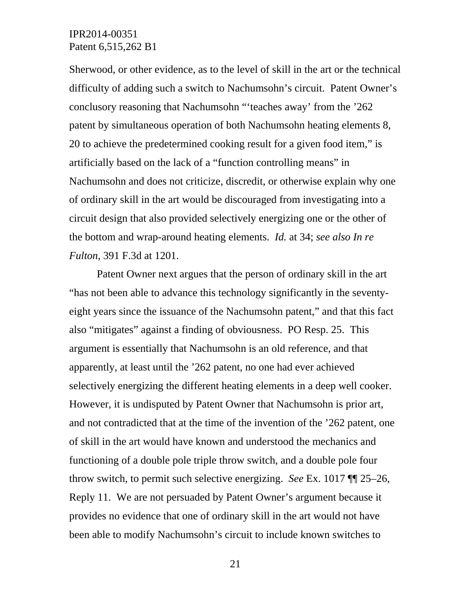Sherwood, or other evidence, as to the level of skill in the art or the technical difficulty of adding such a switch to Nachumsohn's circuit. Patent Owner's conclusory reasoning that Nachumsohn "'teaches away' from the '262 patent by simultaneous operation of both Nachumsohn heating elements 8, 20 to achieve the predetermined cooking result for a given food item," is artificially based on the lack of a "function controlling means" in Nachumsohn and does not criticize, discredit, or otherwise explain why one of ordinary skill in the art would be discouraged from investigating into a circuit design that also provided selectively energizing one or the other of the bottom and wrap-around heating elements. *Id.* at 34; *see also In re Fulton*, 391 F.3d at 1201.

Patent Owner next argues that the person of ordinary skill in the art "has not been able to advance this technology significantly in the seventyeight years since the issuance of the Nachumsohn patent," and that this fact also "mitigates" against a finding of obviousness. PO Resp. 25. This argument is essentially that Nachumsohn is an old reference, and that apparently, at least until the '262 patent, no one had ever achieved selectively energizing the different heating elements in a deep well cooker. However, it is undisputed by Patent Owner that Nachumsohn is prior art, and not contradicted that at the time of the invention of the '262 patent, one of skill in the art would have known and understood the mechanics and functioning of a double pole triple throw switch, and a double pole four throw switch, to permit such selective energizing. *See* Ex. 1017 ¶¶ 25–26, Reply 11. We are not persuaded by Patent Owner's argument because it provides no evidence that one of ordinary skill in the art would not have been able to modify Nachumsohn's circuit to include known switches to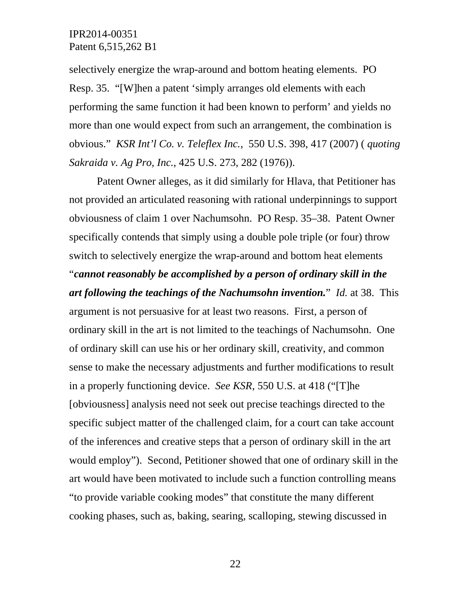selectively energize the wrap-around and bottom heating elements. PO Resp. 35. "[W]hen a patent 'simply arranges old elements with each performing the same function it had been known to perform' and yields no more than one would expect from such an arrangement, the combination is obvious." *KSR Int'l Co. v. Teleflex Inc.*, 550 U.S. 398, 417 (2007) ( *quoting Sakraida v. Ag Pro, Inc.*, 425 U.S. 273, 282 (1976)).

Patent Owner alleges, as it did similarly for Hlava, that Petitioner has not provided an articulated reasoning with rational underpinnings to support obviousness of claim 1 over Nachumsohn. PO Resp. 35–38. Patent Owner specifically contends that simply using a double pole triple (or four) throw switch to selectively energize the wrap-around and bottom heat elements "*cannot reasonably be accomplished by a person of ordinary skill in the art following the teachings of the Nachumsohn invention.*" *Id.* at 38. This argument is not persuasive for at least two reasons. First, a person of ordinary skill in the art is not limited to the teachings of Nachumsohn. One of ordinary skill can use his or her ordinary skill, creativity, and common sense to make the necessary adjustments and further modifications to result in a properly functioning device. *See KSR*, 550 U.S. at 418 ("[T]he [obviousness] analysis need not seek out precise teachings directed to the specific subject matter of the challenged claim, for a court can take account of the inferences and creative steps that a person of ordinary skill in the art would employ"). Second, Petitioner showed that one of ordinary skill in the art would have been motivated to include such a function controlling means "to provide variable cooking modes" that constitute the many different cooking phases, such as, baking, searing, scalloping, stewing discussed in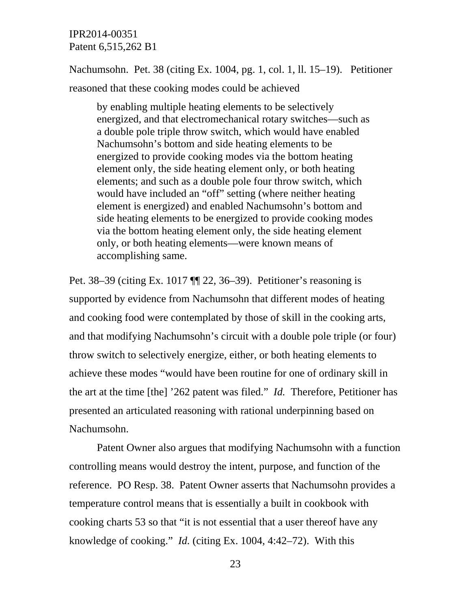Nachumsohn. Pet. 38 (citing Ex. 1004, pg. 1, col. 1, ll. 15–19). Petitioner reasoned that these cooking modes could be achieved

by enabling multiple heating elements to be selectively energized, and that electromechanical rotary switches—such as a double pole triple throw switch, which would have enabled Nachumsohn's bottom and side heating elements to be energized to provide cooking modes via the bottom heating element only, the side heating element only, or both heating elements; and such as a double pole four throw switch, which would have included an "off" setting (where neither heating element is energized) and enabled Nachumsohn's bottom and side heating elements to be energized to provide cooking modes via the bottom heating element only, the side heating element only, or both heating elements—were known means of accomplishing same.

Pet. 38–39 (citing Ex. 1017 ¶¶ 22, 36–39). Petitioner's reasoning is supported by evidence from Nachumsohn that different modes of heating and cooking food were contemplated by those of skill in the cooking arts, and that modifying Nachumsohn's circuit with a double pole triple (or four) throw switch to selectively energize, either, or both heating elements to achieve these modes "would have been routine for one of ordinary skill in the art at the time [the] '262 patent was filed." *Id.* Therefore, Petitioner has presented an articulated reasoning with rational underpinning based on Nachumsohn.

Patent Owner also argues that modifying Nachumsohn with a function controlling means would destroy the intent, purpose, and function of the reference. PO Resp. 38. Patent Owner asserts that Nachumsohn provides a temperature control means that is essentially a built in cookbook with cooking charts 53 so that "it is not essential that a user thereof have any knowledge of cooking." *Id.* (citing Ex. 1004, 4:42–72). With this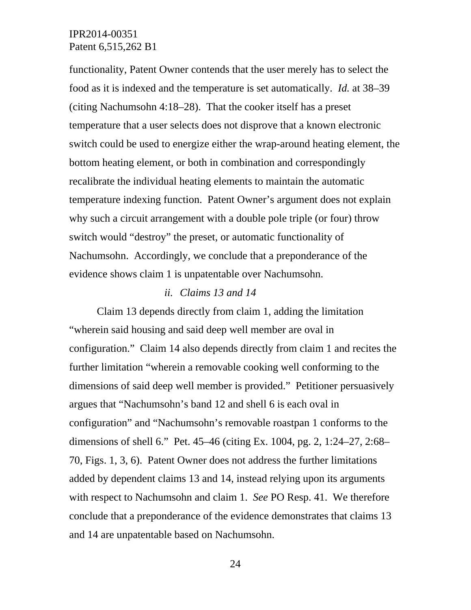functionality, Patent Owner contends that the user merely has to select the food as it is indexed and the temperature is set automatically. *Id.* at 38–39 (citing Nachumsohn 4:18–28). That the cooker itself has a preset temperature that a user selects does not disprove that a known electronic switch could be used to energize either the wrap-around heating element, the bottom heating element, or both in combination and correspondingly recalibrate the individual heating elements to maintain the automatic temperature indexing function. Patent Owner's argument does not explain why such a circuit arrangement with a double pole triple (or four) throw switch would "destroy" the preset, or automatic functionality of Nachumsohn. Accordingly, we conclude that a preponderance of the evidence shows claim 1 is unpatentable over Nachumsohn.

#### *ii. Claims 13 and 14*

Claim 13 depends directly from claim 1, adding the limitation "wherein said housing and said deep well member are oval in configuration." Claim 14 also depends directly from claim 1 and recites the further limitation "wherein a removable cooking well conforming to the dimensions of said deep well member is provided." Petitioner persuasively argues that "Nachumsohn's band 12 and shell 6 is each oval in configuration" and "Nachumsohn's removable roastpan 1 conforms to the dimensions of shell 6." Pet. 45–46 (citing Ex. 1004, pg. 2, 1:24–27, 2:68– 70, Figs. 1, 3, 6). Patent Owner does not address the further limitations added by dependent claims 13 and 14, instead relying upon its arguments with respect to Nachumsohn and claim 1. *See* PO Resp. 41. We therefore conclude that a preponderance of the evidence demonstrates that claims 13 and 14 are unpatentable based on Nachumsohn.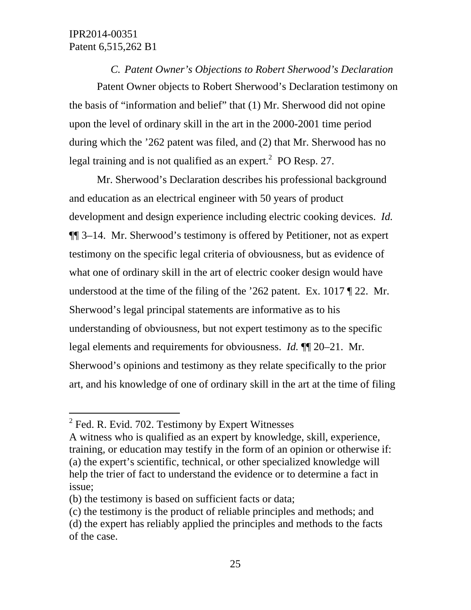*C. Patent Owner's Objections to Robert Sherwood's Declaration*  Patent Owner objects to Robert Sherwood's Declaration testimony on the basis of "information and belief" that (1) Mr. Sherwood did not opine upon the level of ordinary skill in the art in the 2000-2001 time period during which the '262 patent was filed, and (2) that Mr. Sherwood has no legal training and is not qualified as an expert.<sup>2</sup> PO Resp. 27.

Mr. Sherwood's Declaration describes his professional background and education as an electrical engineer with 50 years of product development and design experience including electric cooking devices. *Id.* ¶¶ 3–14. Mr. Sherwood's testimony is offered by Petitioner, not as expert testimony on the specific legal criteria of obviousness, but as evidence of what one of ordinary skill in the art of electric cooker design would have understood at the time of the filing of the '262 patent. Ex. 1017 ¶ 22. Mr. Sherwood's legal principal statements are informative as to his understanding of obviousness, but not expert testimony as to the specific legal elements and requirements for obviousness. *Id.* ¶¶ 20–21. Mr. Sherwood's opinions and testimony as they relate specifically to the prior art, and his knowledge of one of ordinary skill in the art at the time of filing

-

 $2$  Fed. R. Evid. 702. Testimony by Expert Witnesses

A witness who is qualified as an expert by knowledge, skill, experience, training, or education may testify in the form of an opinion or otherwise if: (a) the expert's scientific, technical, or other specialized knowledge will help the trier of fact to understand the evidence or to determine a fact in issue;

<sup>(</sup>b) the testimony is based on sufficient facts or data;

<sup>(</sup>c) the testimony is the product of reliable principles and methods; and

<sup>(</sup>d) the expert has reliably applied the principles and methods to the facts of the case.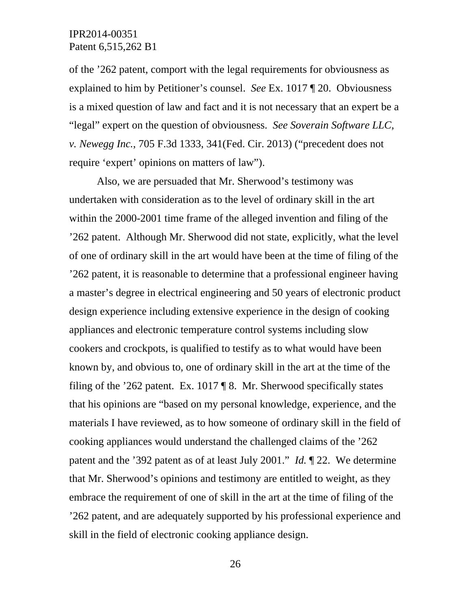of the '262 patent, comport with the legal requirements for obviousness as explained to him by Petitioner's counsel. *See* Ex. 1017 ¶ 20. Obviousness is a mixed question of law and fact and it is not necessary that an expert be a "legal" expert on the question of obviousness. *See Soverain Software LLC, v. Newegg Inc.*, 705 F.3d 1333, 341(Fed. Cir. 2013) ("precedent does not require 'expert' opinions on matters of law").

Also, we are persuaded that Mr. Sherwood's testimony was undertaken with consideration as to the level of ordinary skill in the art within the 2000-2001 time frame of the alleged invention and filing of the '262 patent. Although Mr. Sherwood did not state, explicitly, what the level of one of ordinary skill in the art would have been at the time of filing of the '262 patent, it is reasonable to determine that a professional engineer having a master's degree in electrical engineering and 50 years of electronic product design experience including extensive experience in the design of cooking appliances and electronic temperature control systems including slow cookers and crockpots, is qualified to testify as to what would have been known by, and obvious to, one of ordinary skill in the art at the time of the filing of the '262 patent. Ex. 1017 ¶ 8. Mr. Sherwood specifically states that his opinions are "based on my personal knowledge, experience, and the materials I have reviewed, as to how someone of ordinary skill in the field of cooking appliances would understand the challenged claims of the '262 patent and the '392 patent as of at least July 2001." *Id.* ¶ 22. We determine that Mr. Sherwood's opinions and testimony are entitled to weight, as they embrace the requirement of one of skill in the art at the time of filing of the '262 patent, and are adequately supported by his professional experience and skill in the field of electronic cooking appliance design.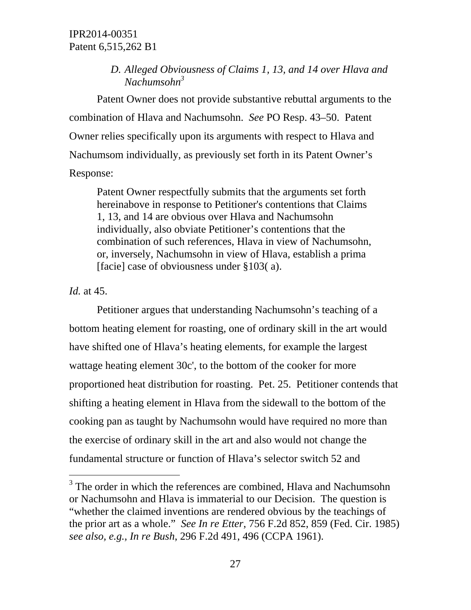## *D. Alleged Obviousness of Claims 1, 13, and 14 over Hlava and Nachumsohn3*

Patent Owner does not provide substantive rebuttal arguments to the combination of Hlava and Nachumsohn. *See* PO Resp. 43–50. Patent Owner relies specifically upon its arguments with respect to Hlava and Nachumsom individually, as previously set forth in its Patent Owner's Response:

Patent Owner respectfully submits that the arguments set forth hereinabove in response to Petitioner's contentions that Claims 1, 13, and 14 are obvious over Hlava and Nachumsohn individually, also obviate Petitioner's contentions that the combination of such references, Hlava in view of Nachumsohn, or, inversely, Nachumsohn in view of Hlava, establish a prima [facie] case of obviousness under §103(a).

*Id.* at 45.

 $\overline{a}$ 

Petitioner argues that understanding Nachumsohn's teaching of a bottom heating element for roasting, one of ordinary skill in the art would have shifted one of Hlava's heating elements, for example the largest wattage heating element 30c', to the bottom of the cooker for more proportioned heat distribution for roasting. Pet. 25. Petitioner contends that shifting a heating element in Hlava from the sidewall to the bottom of the cooking pan as taught by Nachumsohn would have required no more than the exercise of ordinary skill in the art and also would not change the fundamental structure or function of Hlava's selector switch 52 and

<sup>&</sup>lt;sup>3</sup> The order in which the references are combined, Hlava and Nachumsohn or Nachumsohn and Hlava is immaterial to our Decision. The question is "whether the claimed inventions are rendered obvious by the teachings of the prior art as a whole." *See In re Etter*, 756 F.2d 852, 859 (Fed. Cir. 1985) *see also, e.g., In re Bush*, 296 F.2d 491, 496 (CCPA 1961).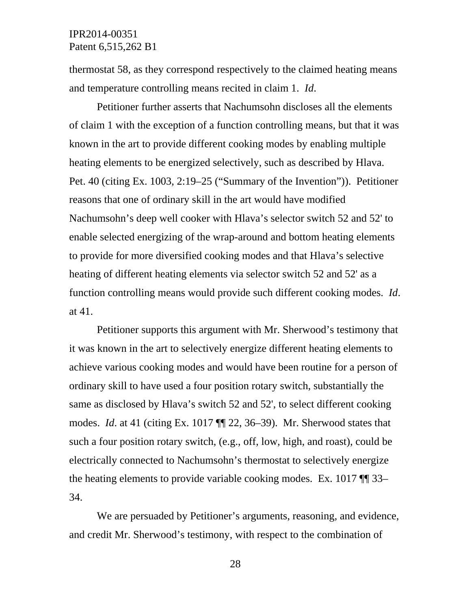thermostat 58, as they correspond respectively to the claimed heating means and temperature controlling means recited in claim 1. *Id*.

Petitioner further asserts that Nachumsohn discloses all the elements of claim 1 with the exception of a function controlling means, but that it was known in the art to provide different cooking modes by enabling multiple heating elements to be energized selectively, such as described by Hlava. Pet. 40 (citing Ex. 1003, 2:19–25 ("Summary of the Invention")). Petitioner reasons that one of ordinary skill in the art would have modified Nachumsohn's deep well cooker with Hlava's selector switch 52 and 52' to enable selected energizing of the wrap-around and bottom heating elements to provide for more diversified cooking modes and that Hlava's selective heating of different heating elements via selector switch 52 and 52' as a function controlling means would provide such different cooking modes. *Id*. at 41.

Petitioner supports this argument with Mr. Sherwood's testimony that it was known in the art to selectively energize different heating elements to achieve various cooking modes and would have been routine for a person of ordinary skill to have used a four position rotary switch, substantially the same as disclosed by Hlava's switch 52 and 52', to select different cooking modes. *Id*. at 41 (citing Ex. 1017 ¶¶ 22, 36–39). Mr. Sherwood states that such a four position rotary switch, (e.g., off, low, high, and roast), could be electrically connected to Nachumsohn's thermostat to selectively energize the heating elements to provide variable cooking modes. Ex. 1017 ¶¶ 33– 34.

We are persuaded by Petitioner's arguments, reasoning, and evidence, and credit Mr. Sherwood's testimony, with respect to the combination of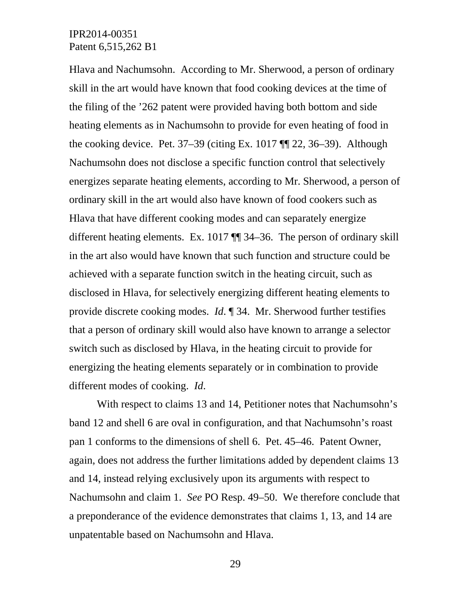Hlava and Nachumsohn. According to Mr. Sherwood, a person of ordinary skill in the art would have known that food cooking devices at the time of the filing of the '262 patent were provided having both bottom and side heating elements as in Nachumsohn to provide for even heating of food in the cooking device. Pet.  $37-39$  (citing Ex. 1017  $\P$  $[22, 36-39]$ ). Although Nachumsohn does not disclose a specific function control that selectively energizes separate heating elements, according to Mr. Sherwood, a person of ordinary skill in the art would also have known of food cookers such as Hlava that have different cooking modes and can separately energize different heating elements. Ex. 1017 ¶¶ 34–36. The person of ordinary skill in the art also would have known that such function and structure could be achieved with a separate function switch in the heating circuit, such as disclosed in Hlava, for selectively energizing different heating elements to provide discrete cooking modes. *Id*. ¶ 34. Mr. Sherwood further testifies that a person of ordinary skill would also have known to arrange a selector switch such as disclosed by Hlava, in the heating circuit to provide for energizing the heating elements separately or in combination to provide different modes of cooking. *Id*.

With respect to claims 13 and 14, Petitioner notes that Nachumsohn's band 12 and shell 6 are oval in configuration, and that Nachumsohn's roast pan 1 conforms to the dimensions of shell 6. Pet. 45–46. Patent Owner, again, does not address the further limitations added by dependent claims 13 and 14, instead relying exclusively upon its arguments with respect to Nachumsohn and claim 1. *See* PO Resp. 49–50. We therefore conclude that a preponderance of the evidence demonstrates that claims 1, 13, and 14 are unpatentable based on Nachumsohn and Hlava.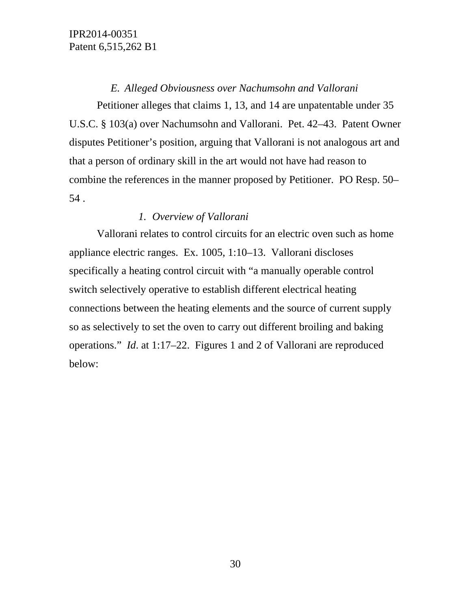## *E. Alleged Obviousness over Nachumsohn and Vallorani*

Petitioner alleges that claims 1, 13, and 14 are unpatentable under 35 U.S.C. § 103(a) over Nachumsohn and Vallorani. Pet. 42–43. Patent Owner disputes Petitioner's position, arguing that Vallorani is not analogous art and that a person of ordinary skill in the art would not have had reason to combine the references in the manner proposed by Petitioner. PO Resp. 50– 54 .

## *1. Overview of Vallorani*

Vallorani relates to control circuits for an electric oven such as home appliance electric ranges. Ex. 1005, 1:10–13. Vallorani discloses specifically a heating control circuit with "a manually operable control switch selectively operative to establish different electrical heating connections between the heating elements and the source of current supply so as selectively to set the oven to carry out different broiling and baking operations." *Id*. at 1:17–22. Figures 1 and 2 of Vallorani are reproduced below: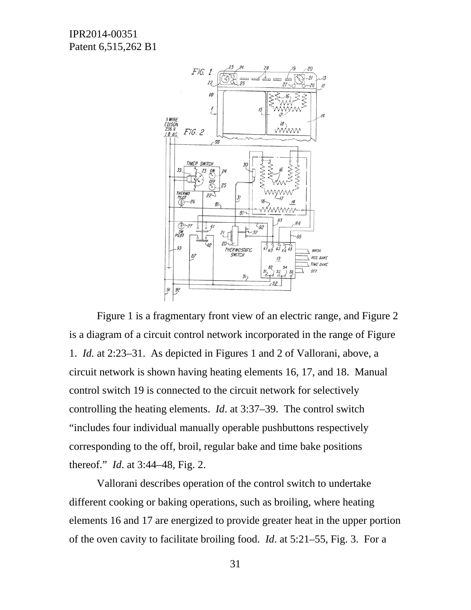

Figure 1 is a fragmentary front view of an electric range, and Figure 2 is a diagram of a circuit control network incorporated in the range of Figure 1. *Id.* at 2:23–31. As depicted in Figures 1 and 2 of Vallorani, above, a circuit network is shown having heating elements 16, 17, and 18. Manual control switch 19 is connected to the circuit network for selectively controlling the heating elements. *Id*. at 3:37–39. The control switch "includes four individual manually operable pushbuttons respectively corresponding to the off, broil, regular bake and time bake positions thereof." *Id*. at 3:44–48, Fig. 2.

Vallorani describes operation of the control switch to undertake different cooking or baking operations, such as broiling, where heating elements 16 and 17 are energized to provide greater heat in the upper portion of the oven cavity to facilitate broiling food. *Id*. at 5:21–55, Fig. 3. For a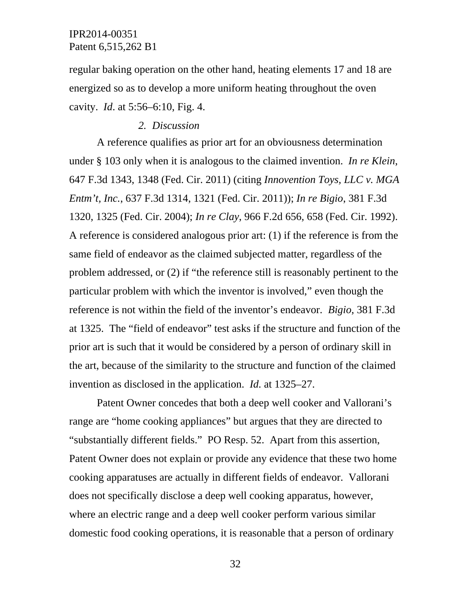regular baking operation on the other hand, heating elements 17 and 18 are energized so as to develop a more uniform heating throughout the oven cavity. *Id*. at 5:56–6:10, Fig. 4.

#### *2. Discussion*

A reference qualifies as prior art for an obviousness determination under § 103 only when it is analogous to the claimed invention. *In re Klein*, 647 F.3d 1343, 1348 (Fed. Cir. 2011) (citing *Innovention Toys, LLC v. MGA Entm't, Inc.*, 637 F.3d 1314, 1321 (Fed. Cir. 2011)); *In re Bigio*, 381 F.3d 1320, 1325 (Fed. Cir. 2004); *In re Clay*, 966 F.2d 656, 658 (Fed. Cir. 1992). A reference is considered analogous prior art: (1) if the reference is from the same field of endeavor as the claimed subjected matter, regardless of the problem addressed, or (2) if "the reference still is reasonably pertinent to the particular problem with which the inventor is involved," even though the reference is not within the field of the inventor's endeavor. *Bigio*, 381 F.3d at 1325. The "field of endeavor" test asks if the structure and function of the prior art is such that it would be considered by a person of ordinary skill in the art, because of the similarity to the structure and function of the claimed invention as disclosed in the application. *Id.* at 1325–27.

Patent Owner concedes that both a deep well cooker and Vallorani's range are "home cooking appliances" but argues that they are directed to "substantially different fields." PO Resp. 52. Apart from this assertion, Patent Owner does not explain or provide any evidence that these two home cooking apparatuses are actually in different fields of endeavor. Vallorani does not specifically disclose a deep well cooking apparatus, however, where an electric range and a deep well cooker perform various similar domestic food cooking operations, it is reasonable that a person of ordinary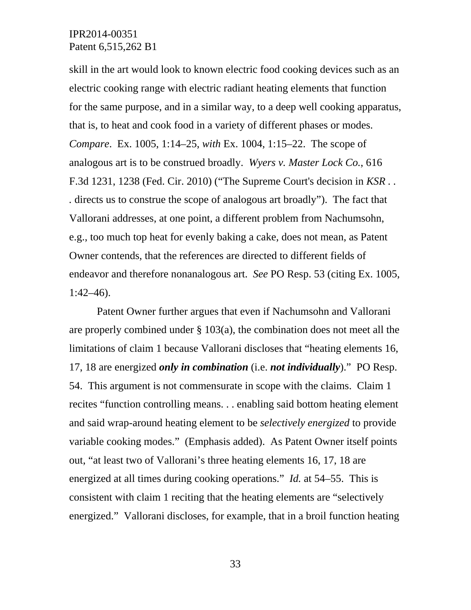skill in the art would look to known electric food cooking devices such as an electric cooking range with electric radiant heating elements that function for the same purpose, and in a similar way, to a deep well cooking apparatus, that is, to heat and cook food in a variety of different phases or modes. *Compare*. Ex. 1005, 1:14–25, *with* Ex. 1004, 1:15–22. The scope of analogous art is to be construed broadly. *Wyers v. Master Lock Co.*, 616 F.3d 1231, 1238 (Fed. Cir. 2010) ("The Supreme Court's decision in *KSR . . .* directs us to construe the scope of analogous art broadly"). The fact that Vallorani addresses, at one point, a different problem from Nachumsohn, e.g., too much top heat for evenly baking a cake, does not mean, as Patent Owner contends, that the references are directed to different fields of endeavor and therefore nonanalogous art. *See* PO Resp. 53 (citing Ex. 1005, 1:42–46).

Patent Owner further argues that even if Nachumsohn and Vallorani are properly combined under § 103(a), the combination does not meet all the limitations of claim 1 because Vallorani discloses that "heating elements 16, 17, 18 are energized *only in combination* (i.e. *not individually*)." PO Resp. 54. This argument is not commensurate in scope with the claims. Claim 1 recites "function controlling means. . . enabling said bottom heating element and said wrap-around heating element to be *selectively energized* to provide variable cooking modes." (Emphasis added). As Patent Owner itself points out, "at least two of Vallorani's three heating elements 16, 17, 18 are energized at all times during cooking operations." *Id.* at 54–55. This is consistent with claim 1 reciting that the heating elements are "selectively energized." Vallorani discloses, for example, that in a broil function heating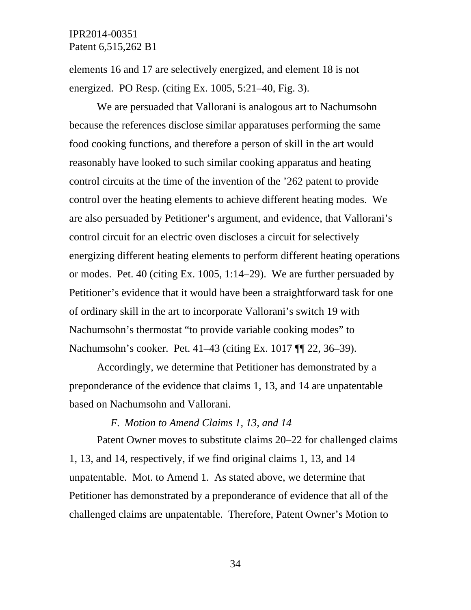elements 16 and 17 are selectively energized, and element 18 is not energized. PO Resp. (citing Ex. 1005, 5:21–40, Fig. 3).

We are persuaded that Vallorani is analogous art to Nachumsohn because the references disclose similar apparatuses performing the same food cooking functions, and therefore a person of skill in the art would reasonably have looked to such similar cooking apparatus and heating control circuits at the time of the invention of the '262 patent to provide control over the heating elements to achieve different heating modes. We are also persuaded by Petitioner's argument, and evidence, that Vallorani's control circuit for an electric oven discloses a circuit for selectively energizing different heating elements to perform different heating operations or modes. Pet. 40 (citing Ex. 1005, 1:14–29). We are further persuaded by Petitioner's evidence that it would have been a straightforward task for one of ordinary skill in the art to incorporate Vallorani's switch 19 with Nachumsohn's thermostat "to provide variable cooking modes" to Nachumsohn's cooker. Pet. 41–43 (citing Ex. 1017 ¶¶ 22, 36–39).

Accordingly, we determine that Petitioner has demonstrated by a preponderance of the evidence that claims 1, 13, and 14 are unpatentable based on Nachumsohn and Vallorani.

*F. Motion to Amend Claims 1, 13, and 14* 

Patent Owner moves to substitute claims 20–22 for challenged claims 1, 13, and 14, respectively, if we find original claims 1, 13, and 14 unpatentable. Mot. to Amend 1. As stated above, we determine that Petitioner has demonstrated by a preponderance of evidence that all of the challenged claims are unpatentable. Therefore, Patent Owner's Motion to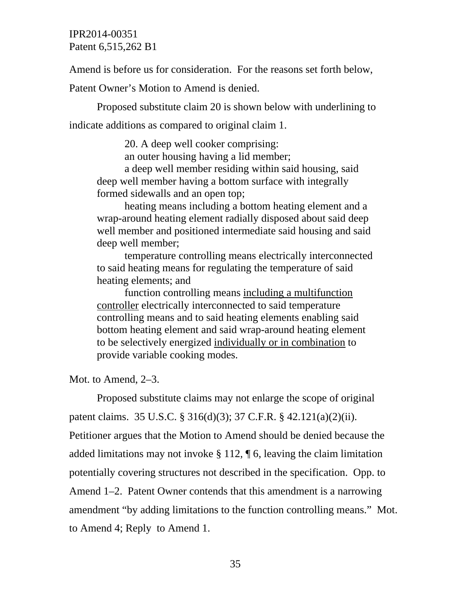Amend is before us for consideration. For the reasons set forth below,

Patent Owner's Motion to Amend is denied.

Proposed substitute claim 20 is shown below with underlining to indicate additions as compared to original claim 1.

> 20. A deep well cooker comprising: an outer housing having a lid member; a deep well member residing within said housing, said

deep well member having a bottom surface with integrally formed sidewalls and an open top;

heating means including a bottom heating element and a wrap-around heating element radially disposed about said deep well member and positioned intermediate said housing and said deep well member;

temperature controlling means electrically interconnected to said heating means for regulating the temperature of said heating elements; and

function controlling means including a multifunction controller electrically interconnected to said temperature controlling means and to said heating elements enabling said bottom heating element and said wrap-around heating element to be selectively energized individually or in combination to provide variable cooking modes.

Mot. to Amend, 2–3.

Proposed substitute claims may not enlarge the scope of original patent claims. 35 U.S.C. § 316(d)(3); 37 C.F.R. § 42.121(a)(2)(ii). Petitioner argues that the Motion to Amend should be denied because the added limitations may not invoke § 112, ¶ 6, leaving the claim limitation potentially covering structures not described in the specification. Opp. to Amend 1–2. Patent Owner contends that this amendment is a narrowing amendment "by adding limitations to the function controlling means." Mot. to Amend 4; Reply to Amend 1.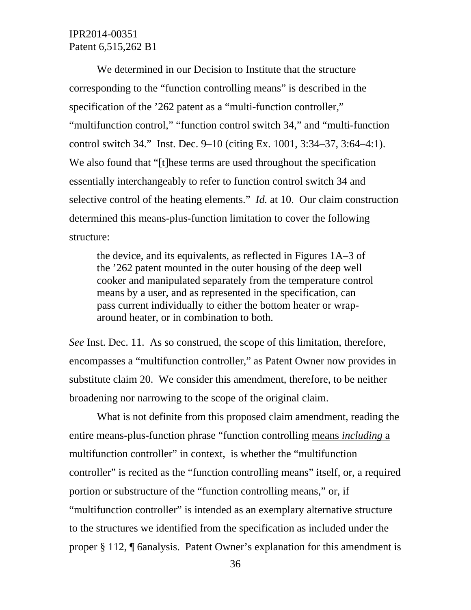We determined in our Decision to Institute that the structure corresponding to the "function controlling means" is described in the specification of the '262 patent as a "multi-function controller," "multifunction control," "function control switch 34," and "multi-function control switch 34." Inst. Dec. 9–10 (citing Ex. 1001, 3:34–37, 3:64–4:1). We also found that "[t]hese terms are used throughout the specification essentially interchangeably to refer to function control switch 34 and selective control of the heating elements." *Id.* at 10. Our claim construction determined this means-plus-function limitation to cover the following structure:

the device, and its equivalents, as reflected in Figures 1A–3 of the '262 patent mounted in the outer housing of the deep well cooker and manipulated separately from the temperature control means by a user, and as represented in the specification, can pass current individually to either the bottom heater or wraparound heater, or in combination to both.

*See* Inst. Dec. 11. As so construed, the scope of this limitation, therefore, encompasses a "multifunction controller," as Patent Owner now provides in substitute claim 20. We consider this amendment, therefore, to be neither broadening nor narrowing to the scope of the original claim.

What is not definite from this proposed claim amendment, reading the entire means-plus-function phrase "function controlling means *including* a multifunction controller" in context, is whether the "multifunction controller" is recited as the "function controlling means" itself, or, a required portion or substructure of the "function controlling means," or, if "multifunction controller" is intended as an exemplary alternative structure to the structures we identified from the specification as included under the proper § 112, ¶ 6analysis. Patent Owner's explanation for this amendment is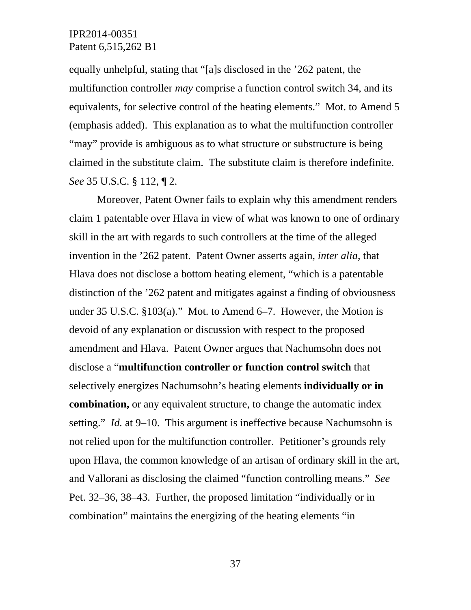equally unhelpful, stating that "[a]s disclosed in the '262 patent, the multifunction controller *may* comprise a function control switch 34, and its equivalents, for selective control of the heating elements." Mot. to Amend 5 (emphasis added). This explanation as to what the multifunction controller "may" provide is ambiguous as to what structure or substructure is being claimed in the substitute claim. The substitute claim is therefore indefinite. *See* 35 U.S.C. § 112, ¶ 2.

Moreover, Patent Owner fails to explain why this amendment renders claim 1 patentable over Hlava in view of what was known to one of ordinary skill in the art with regards to such controllers at the time of the alleged invention in the '262 patent. Patent Owner asserts again, *inter alia*, that Hlava does not disclose a bottom heating element, "which is a patentable distinction of the '262 patent and mitigates against a finding of obviousness under 35 U.S.C. §103(a)." Mot. to Amend 6–7. However, the Motion is devoid of any explanation or discussion with respect to the proposed amendment and Hlava. Patent Owner argues that Nachumsohn does not disclose a "**multifunction controller or function control switch** that selectively energizes Nachumsohn's heating elements **individually or in combination,** or any equivalent structure, to change the automatic index setting." *Id.* at 9–10. This argument is ineffective because Nachumsohn is not relied upon for the multifunction controller. Petitioner's grounds rely upon Hlava, the common knowledge of an artisan of ordinary skill in the art, and Vallorani as disclosing the claimed "function controlling means." *See* Pet. 32–36, 38–43. Further, the proposed limitation "individually or in combination" maintains the energizing of the heating elements "in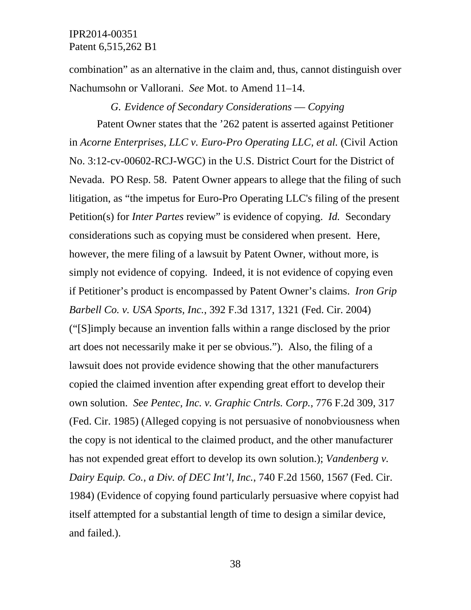combination" as an alternative in the claim and, thus, cannot distinguish over Nachumsohn or Vallorani. *See* Mot. to Amend 11–14.

#### *G. Evidence of Secondary Considerations –– Copying*

Patent Owner states that the '262 patent is asserted against Petitioner in *Acorne Enterprises, LLC v. Euro-Pro Operating LLC, et al.* (Civil Action No. 3:12-cv-00602-RCJ-WGC) in the U.S. District Court for the District of Nevada. PO Resp. 58. Patent Owner appears to allege that the filing of such litigation, as "the impetus for Euro-Pro Operating LLC's filing of the present Petition(s) for *Inter Partes* review" is evidence of copying. *Id.* Secondary considerations such as copying must be considered when present. Here, however, the mere filing of a lawsuit by Patent Owner, without more, is simply not evidence of copying. Indeed, it is not evidence of copying even if Petitioner's product is encompassed by Patent Owner's claims. *Iron Grip Barbell Co. v. USA Sports, Inc.*, 392 F.3d 1317, 1321 (Fed. Cir. 2004) ("[S]imply because an invention falls within a range disclosed by the prior art does not necessarily make it per se obvious."). Also, the filing of a lawsuit does not provide evidence showing that the other manufacturers copied the claimed invention after expending great effort to develop their own solution. *See Pentec, Inc. v. Graphic Cntrls. Corp.*, 776 F.2d 309, 317 (Fed. Cir. 1985) (Alleged copying is not persuasive of nonobviousness when the copy is not identical to the claimed product, and the other manufacturer has not expended great effort to develop its own solution.); *Vandenberg v. Dairy Equip. Co., a Div. of DEC Int'l, Inc.*, 740 F.2d 1560, 1567 (Fed. Cir. 1984) (Evidence of copying found particularly persuasive where copyist had itself attempted for a substantial length of time to design a similar device, and failed.).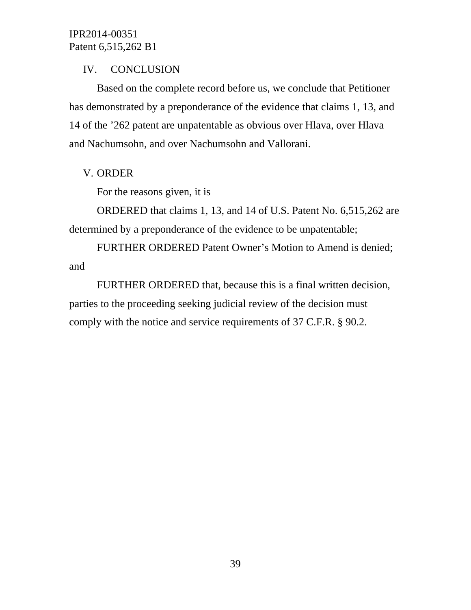## IV. CONCLUSION

 Based on the complete record before us, we conclude that Petitioner has demonstrated by a preponderance of the evidence that claims 1, 13, and 14 of the '262 patent are unpatentable as obvious over Hlava, over Hlava and Nachumsohn, and over Nachumsohn and Vallorani.

## V. ORDER

For the reasons given, it is

ORDERED that claims 1, 13, and 14 of U.S. Patent No. 6,515,262 are determined by a preponderance of the evidence to be unpatentable;

FURTHER ORDERED Patent Owner's Motion to Amend is denied; and

FURTHER ORDERED that, because this is a final written decision, parties to the proceeding seeking judicial review of the decision must comply with the notice and service requirements of 37 C.F.R. § 90.2.